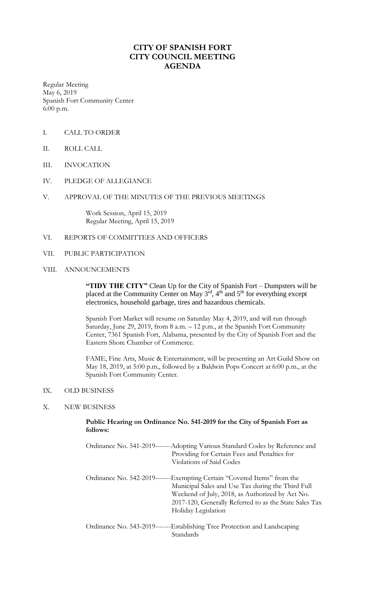# **CITY OF SPANISH FORT CITY COUNCIL MEETING AGENDA**

Regular Meeting May 6, 2019 Spanish Fort Community Center 6:00 p.m.

- I. CALL TO ORDER
- II. ROLL CALL
- III. INVOCATION
- IV. PLEDGE OF ALLEGIANCE

### V. APPROVAL OF THE MINUTES OF THE PREVIOUS MEETINGS

Work Session, April 15, 2019 Regular Meeting, April 15, 2019

#### VI. REPORTS OF COMMITTEES AND OFFICERS

VII. PUBLIC PARTICIPATION

### VIII. ANNOUNCEMENTS

**"TIDY THE CITY"** Clean Up for the City of Spanish Fort – Dumpsters will be placed at the Community Center on May  $3<sup>rd</sup>$ , 4<sup>th</sup> and 5<sup>th</sup> for everything except electronics, household garbage, tires and hazardous chemicals.

Spanish Fort Market will resume on Saturday May 4, 2019, and will run through Saturday, June 29, 2019, from 8 a.m. – 12 p.m., at the Spanish Fort Community Center, 7361 Spanish Fort, Alabama, presented by the City of Spanish Fort and the Eastern Shore Chamber of Commerce.

FAME, Fine Arts, Music & Entertainment, will be presenting an Art Guild Show on May 18, 2019, at 5:00 p.m., followed by a Baldwin Pops Concert at 6:00 p.m., at the Spanish Fort Community Center.

### IX. OLD BUSINESS

#### X. NEW BUSINESS

### **Public Hearing on Ordinance No. 541-2019 for the City of Spanish Fort as follows:**

| Ordinance No. 541-2019-------Adopting Various Standard Codes by Reference and<br>Providing for Certain Fees and Penalties for<br>Violations of Said Codes                                                                                                        |
|------------------------------------------------------------------------------------------------------------------------------------------------------------------------------------------------------------------------------------------------------------------|
| Ordinance No. 542-2019-------Exempting Certain "Covered Items" from the<br>Municipal Sales and Use Tax during the Third Full<br>Weekend of July, 2018, as Authorized by Act No.<br>2017-120, Generally Referred to as the State Sales Tax<br>Holiday Legislation |
| Ordinance No. 543-2019-------Establishing Tree Protection and Landscaping<br>Standards                                                                                                                                                                           |